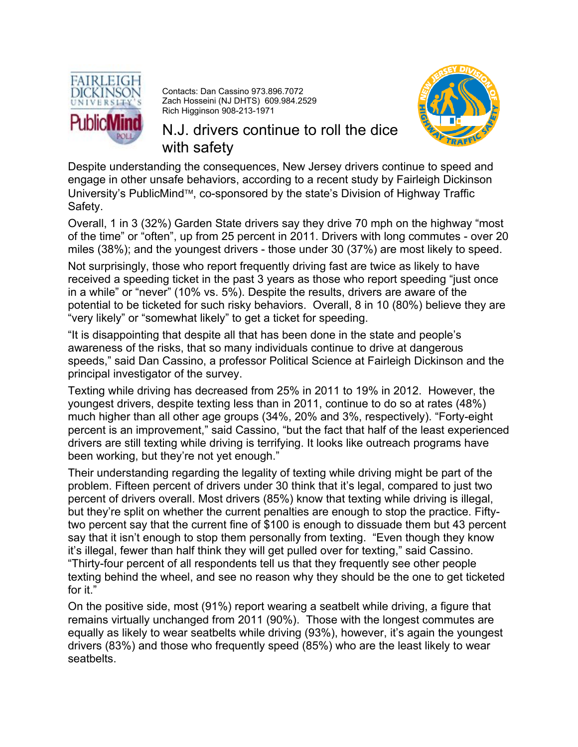

Contacts: Dan Cassino 973.896.7072 Zach Hosseini (NJ DHTS) 609.984.2529 Rich Higginson 908-213-1971



N.J. drivers continue to roll the dice with safety

Despite understanding the consequences, New Jersey drivers continue to speed and engage in other unsafe behaviors, according to a recent study by Fairleigh Dickinson University's PublicMind™, co-sponsored by the state's Division of Highway Traffic Safety.

Overall, 1 in 3 (32%) Garden State drivers say they drive 70 mph on the highway "most of the time" or "often", up from 25 percent in 2011. Drivers with long commutes - over 20 miles (38%); and the youngest drivers - those under 30 (37%) are most likely to speed.

Not surprisingly, those who report frequently driving fast are twice as likely to have received a speeding ticket in the past 3 years as those who report speeding "just once in a while" or "never" (10% vs. 5%). Despite the results, drivers are aware of the potential to be ticketed for such risky behaviors. Overall, 8 in 10 (80%) believe they are "very likely" or "somewhat likely" to get a ticket for speeding.

"It is disappointing that despite all that has been done in the state and people's awareness of the risks, that so many individuals continue to drive at dangerous speeds," said Dan Cassino, a professor Political Science at Fairleigh Dickinson and the principal investigator of the survey.

Texting while driving has decreased from 25% in 2011 to 19% in 2012. However, the youngest drivers, despite texting less than in 2011, continue to do so at rates (48%) much higher than all other age groups (34%, 20% and 3%, respectively). "Forty-eight percent is an improvement," said Cassino, "but the fact that half of the least experienced drivers are still texting while driving is terrifying. It looks like outreach programs have been working, but they're not yet enough."

Their understanding regarding the legality of texting while driving might be part of the problem. Fifteen percent of drivers under 30 think that it's legal, compared to just two percent of drivers overall. Most drivers (85%) know that texting while driving is illegal, but they're split on whether the current penalties are enough to stop the practice. Fiftytwo percent say that the current fine of \$100 is enough to dissuade them but 43 percent say that it isn't enough to stop them personally from texting. "Even though they know it's illegal, fewer than half think they will get pulled over for texting," said Cassino. "Thirty-four percent of all respondents tell us that they frequently see other people texting behind the wheel, and see no reason why they should be the one to get ticketed for it."

On the positive side, most (91%) report wearing a seatbelt while driving, a figure that remains virtually unchanged from 2011 (90%). Those with the longest commutes are equally as likely to wear seatbelts while driving (93%), however, it's again the youngest drivers (83%) and those who frequently speed (85%) who are the least likely to wear seatbelts.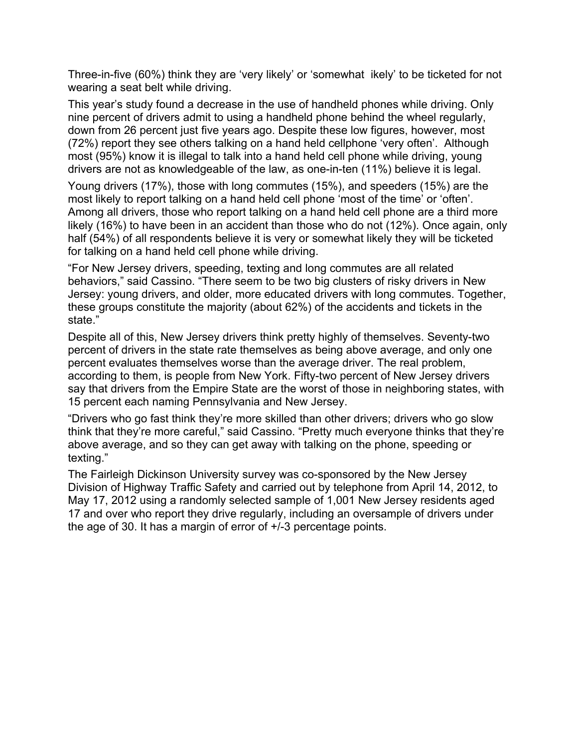Three-in-five (60%) think they are 'very likely' or 'somewhat ikely' to be ticketed for not wearing a seat belt while driving.

This year's study found a decrease in the use of handheld phones while driving. Only nine percent of drivers admit to using a handheld phone behind the wheel regularly, down from 26 percent just five years ago. Despite these low figures, however, most (72%) report they see others talking on a hand held cellphone 'very often'. Although most (95%) know it is illegal to talk into a hand held cell phone while driving, young drivers are not as knowledgeable of the law, as one-in-ten (11%) believe it is legal.

Young drivers (17%), those with long commutes (15%), and speeders (15%) are the most likely to report talking on a hand held cell phone 'most of the time' or 'often'. Among all drivers, those who report talking on a hand held cell phone are a third more likely (16%) to have been in an accident than those who do not (12%). Once again, only half (54%) of all respondents believe it is very or somewhat likely they will be ticketed for talking on a hand held cell phone while driving.

"For New Jersey drivers, speeding, texting and long commutes are all related behaviors," said Cassino. "There seem to be two big clusters of risky drivers in New Jersey: young drivers, and older, more educated drivers with long commutes. Together, these groups constitute the majority (about 62%) of the accidents and tickets in the state."

Despite all of this, New Jersey drivers think pretty highly of themselves. Seventy-two percent of drivers in the state rate themselves as being above average, and only one percent evaluates themselves worse than the average driver. The real problem, according to them, is people from New York. Fifty-two percent of New Jersey drivers say that drivers from the Empire State are the worst of those in neighboring states, with 15 percent each naming Pennsylvania and New Jersey.

"Drivers who go fast think they're more skilled than other drivers; drivers who go slow think that they're more careful," said Cassino. "Pretty much everyone thinks that they're above average, and so they can get away with talking on the phone, speeding or texting."

The Fairleigh Dickinson University survey was co-sponsored by the New Jersey Division of Highway Traffic Safety and carried out by telephone from April 14, 2012, to May 17, 2012 using a randomly selected sample of 1,001 New Jersey residents aged 17 and over who report they drive regularly, including an oversample of drivers under the age of 30. It has a margin of error of +/-3 percentage points.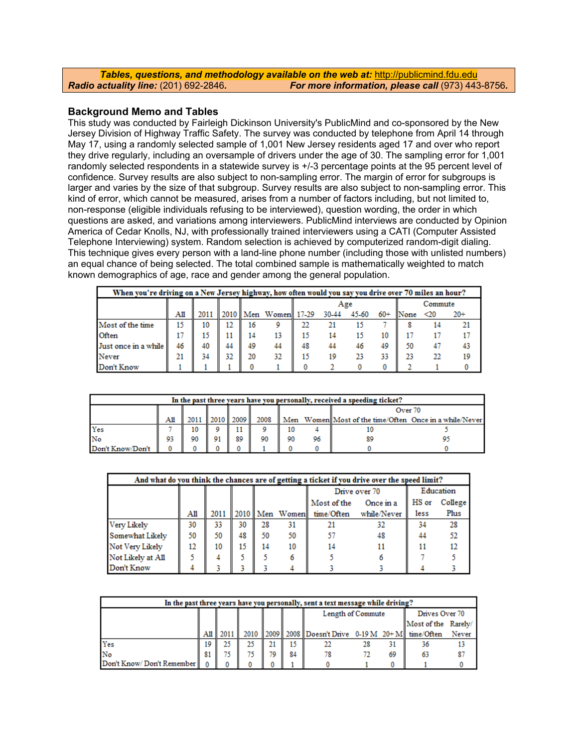|                                              | <b>Tables, questions, and methodology available on the web at: http://publicmind.fdu.edu/</b> |
|----------------------------------------------|-----------------------------------------------------------------------------------------------|
| <b>Radio actuality line: (201) 692-2846.</b> | For more information, please call (973) 443-8756.                                             |

## **Background Memo and Tables**

This study was conducted by Fairleigh Dickinson University's PublicMind and co-sponsored by the New Jersey Division of Highway Traffic Safety. The survey was conducted by telephone from April 14 through May 17, using a randomly selected sample of 1,001 New Jersey residents aged 17 and over who report they drive regularly, including an oversample of drivers under the age of 30. The sampling error for 1,001 randomly selected respondents in a statewide survey is +/-3 percentage points at the 95 percent level of confidence. Survey results are also subject to non-sampling error. The margin of error for subgroups is larger and varies by the size of that subgroup. Survey results are also subject to non-sampling error. This kind of error, which cannot be measured, arises from a number of factors including, but not limited to, non-response (eligible individuals refusing to be interviewed), question wording, the order in which questions are asked, and variations among interviewers. PublicMind interviews are conducted by Opinion America of Cedar Knolls, NJ, with professionally trained interviewers using a CATI (Computer Assisted Telephone Interviewing) system. Random selection is achieved by computerized random-digit dialing. This technique gives every person with a land-line phone number (including those with unlisted numbers) an equal chance of being selected. The total combined sample is mathematically weighted to match known demographics of age, race and gender among the general population.

|                      | When you're driving on a New Jersey highway, how often would you say you drive over 70 miles an hour? |    |    |    |                                    |    |       |       |       |         |           |       |  |  |
|----------------------|-------------------------------------------------------------------------------------------------------|----|----|----|------------------------------------|----|-------|-------|-------|---------|-----------|-------|--|--|
|                      |                                                                                                       |    |    |    |                                    |    | Age   |       |       | Commute |           |       |  |  |
|                      | All                                                                                                   |    |    |    | 2011    2010    Men Women    17-29 |    | 30-44 | 45-60 | $60+$ | None    | $\leq 20$ | $20+$ |  |  |
| Most of the time     | 15                                                                                                    | 10 | 12 | 16 |                                    | 22 |       |       |       |         | 14        |       |  |  |
| Often                |                                                                                                       |    |    | 14 | 13                                 | 15 | 14    |       | 10    |         |           |       |  |  |
| Just once in a while | 46                                                                                                    | 40 | 44 | 49 | 44                                 | 48 |       |       | 49    | 50      | -47       | 43    |  |  |
| Never                | 21                                                                                                    | 34 | 32 | 20 | 32                                 | 15 | 19    | 23    | 33    | 23      | 22        | 19    |  |  |
| Don't Know           |                                                                                                       |    |    |    |                                    |    |       |       |       |         |           |       |  |  |

|                  | In the past three years have you personally, received a speeding ticket? |    |    |    |                      |    |  |                                                        |  |  |  |  |  |  |  |  |
|------------------|--------------------------------------------------------------------------|----|----|----|----------------------|----|--|--------------------------------------------------------|--|--|--|--|--|--|--|--|
|                  | Over 70                                                                  |    |    |    |                      |    |  |                                                        |  |  |  |  |  |  |  |  |
|                  |                                                                          |    |    |    | 2010    2009    2008 |    |  | Men Women Most of the time/Often Once in a while/Never |  |  |  |  |  |  |  |  |
| Yes              |                                                                          |    |    |    |                      |    |  |                                                        |  |  |  |  |  |  |  |  |
| No               |                                                                          | 90 | 91 | 89 | 90                   | 90 |  |                                                        |  |  |  |  |  |  |  |  |
| Don't Know/Don't |                                                                          |    |    |    |                      |    |  |                                                        |  |  |  |  |  |  |  |  |

| And what do you think the chances are of getting a ticket if you drive over the speed limit? |    |    |    |                                                                       |    |             |               |           |    |  |  |  |  |  |
|----------------------------------------------------------------------------------------------|----|----|----|-----------------------------------------------------------------------|----|-------------|---------------|-----------|----|--|--|--|--|--|
|                                                                                              |    |    |    |                                                                       |    |             | Drive over 70 | Education |    |  |  |  |  |  |
|                                                                                              |    |    |    |                                                                       |    | Most of the | HS or         | College   |    |  |  |  |  |  |
|                                                                                              | AШ |    |    | Plus<br>2011    2010    Men Women   time/Often<br>less<br>while/Never |    |             |               |           |    |  |  |  |  |  |
| Very Likely                                                                                  | 30 | 33 | 30 | 28                                                                    | 31 | 21          | 32            | 34        | 28 |  |  |  |  |  |
| Somewhat Likely                                                                              | 50 | 50 | 48 | 50                                                                    | 50 | 57          | 48            | 44        | 52 |  |  |  |  |  |
| Not Very Likely                                                                              | 12 | 10 | 15 | 14                                                                    | 10 | 14          | 11            | 11        | 12 |  |  |  |  |  |
| Not Likely at All                                                                            |    |    |    |                                                                       |    |             |               |           |    |  |  |  |  |  |
| Don't Know                                                                                   |    |    |    |                                                                       |    |             |               |           |    |  |  |  |  |  |

|                           | In the past three years have you personally, sent a text message while driving? |  |     |    |    |                                                                           |  |  |    |  |  |  |  |  |
|---------------------------|---------------------------------------------------------------------------------|--|-----|----|----|---------------------------------------------------------------------------|--|--|----|--|--|--|--|--|
|                           |                                                                                 |  |     |    |    | Length of Commute<br>Drives Over 70                                       |  |  |    |  |  |  |  |  |
|                           | Most of the Rarely/                                                             |  |     |    |    |                                                                           |  |  |    |  |  |  |  |  |
|                           |                                                                                 |  |     |    |    | 2010    2009    2008    Doesn't Drive 0-19 M 20+ M    time/Often<br>Never |  |  |    |  |  |  |  |  |
| Yes                       |                                                                                 |  | 25  | 21 | 15 |                                                                           |  |  | 36 |  |  |  |  |  |
| No                        | 81                                                                              |  | 75. | 79 | 84 | 69<br>63                                                                  |  |  |    |  |  |  |  |  |
| Don't Know/Don't Remember |                                                                                 |  |     |    |    |                                                                           |  |  |    |  |  |  |  |  |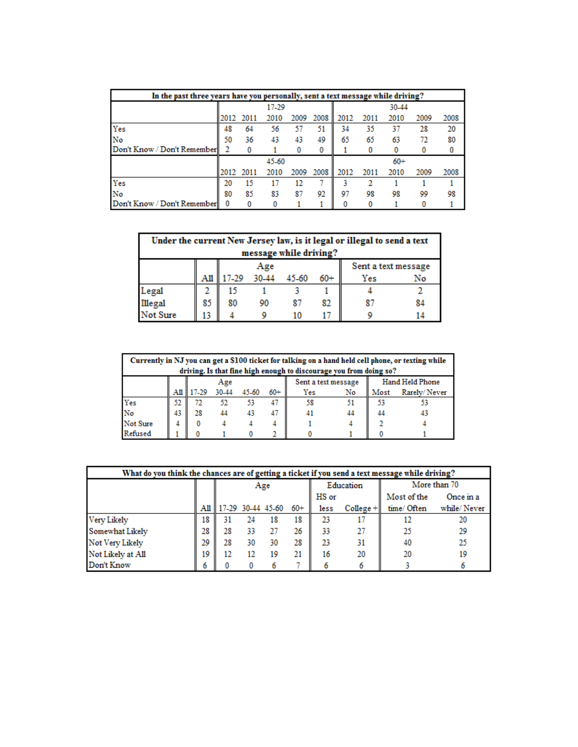| In the past three years have you personally, sent a text message while driving? |                                      |      |       |      |      |       |      |       |      |      |  |  |
|---------------------------------------------------------------------------------|--------------------------------------|------|-------|------|------|-------|------|-------|------|------|--|--|
|                                                                                 |                                      |      | 17-29 |      |      |       |      | 30-44 |      |      |  |  |
|                                                                                 | 2008<br>2012<br>2009<br>2011<br>2010 |      |       |      |      | 2012  | 2011 | 2010  | 2009 | 2008 |  |  |
| Yes                                                                             | 48                                   | 64   | 56    | 57   | 51   | 34    | 35   | 37    | 28   | 20   |  |  |
| No                                                                              | 50                                   | 36   | 43    | 43   | 49   | 65    | 65   | 63    | 72   | 80   |  |  |
| Don't Know / Don't Remember                                                     |                                      |      |       |      | 0    |       |      |       |      |      |  |  |
|                                                                                 |                                      |      | 45-60 |      |      | $60+$ |      |       |      |      |  |  |
|                                                                                 | 2012                                 | 2011 | 2010  | 2009 | 2008 | 2012  | 2011 | 2010  | 2009 | 2008 |  |  |
| Yes                                                                             | 20                                   | 15   |       | 12   |      |       |      |       |      |      |  |  |
| No                                                                              | 80                                   | 85   | 83    | 87   | 92   | 97    | 98   | 98    | 99   | 98   |  |  |
| Don't Know / Don't Remember                                                     | $\bf{0}$                             |      |       |      |      |       |      |       |      |      |  |  |

|                            | Under the current New Jersey law, is it legal or illegal to send a text<br>message while driving? |       |       |     |    |  |    |  |  |  |  |  |
|----------------------------|---------------------------------------------------------------------------------------------------|-------|-------|-----|----|--|----|--|--|--|--|--|
| Sent a text message<br>Age |                                                                                                   |       |       |     |    |  |    |  |  |  |  |  |
|                            | Ail                                                                                               | 17-29 | 30-44 | Yes | No |  |    |  |  |  |  |  |
|                            | 2                                                                                                 | 15    |       |     |    |  |    |  |  |  |  |  |
| Legal<br>Illegal           | 85                                                                                                | 80    |       |     | 82 |  | 84 |  |  |  |  |  |
| Not Sure                   | 13                                                                                                |       |       | 10  |    |  |    |  |  |  |  |  |

|                                               | Currently in NJ you can get a \$100 ticket for talking on a hand held cell phone, or texting while<br>driving. Is that fine high enough to discourage you from doing so? |             |       |       |       |     |    |      |              |  |  |  |  |
|-----------------------------------------------|--------------------------------------------------------------------------------------------------------------------------------------------------------------------------|-------------|-------|-------|-------|-----|----|------|--------------|--|--|--|--|
| Hand Held Phone<br>Sent a text message<br>Age |                                                                                                                                                                          |             |       |       |       |     |    |      |              |  |  |  |  |
|                                               |                                                                                                                                                                          | All   17-29 | 30-44 | 45-60 | $60+$ | Yes | No | Most | Rarely/Never |  |  |  |  |
| Yes                                           | 52                                                                                                                                                                       |             | 52    | 53    | 47    | 58  |    | 53   |              |  |  |  |  |
| No                                            | 43                                                                                                                                                                       | 28          |       |       | 47    | 41  | 44 | 44   | 43           |  |  |  |  |
| Not Sure                                      |                                                                                                                                                                          |             |       |       |       |     |    |      |              |  |  |  |  |
| Refused                                       |                                                                                                                                                                          |             |       |       |       |     |    |      |              |  |  |  |  |

| What do you think the chances are of getting a ticket if you send a text message while driving? |    |    |    |                       |       |       |             |              |             |  |  |
|-------------------------------------------------------------------------------------------------|----|----|----|-----------------------|-------|-------|-------------|--------------|-------------|--|--|
|                                                                                                 |    |    |    | Age                   |       |       | Education   | More than 70 |             |  |  |
|                                                                                                 |    |    |    |                       |       | HS or |             | Most of the  | Once in a   |  |  |
|                                                                                                 |    |    |    | All 17-29 30-44 45-60 | $60+$ | less  | $College +$ | time/Often   | while/Never |  |  |
| Very Likely                                                                                     | 18 | 31 | 24 | 18                    | 18    | 23    |             |              | 20          |  |  |
| Somewhat Likely                                                                                 | 28 | 28 | 33 | 27                    | 26    | 33    |             | 25           | 29          |  |  |
| Not Very Likely                                                                                 | 29 | 28 | 30 | 30                    | 28    | 23    | 31          | 40           | 25          |  |  |
| Not Likely at All                                                                               | 19 | 12 | 12 | 19                    | 21    | 16    | 20          | 20           | 19          |  |  |
| Don't Know                                                                                      | 6  |    |    |                       |       |       |             |              |             |  |  |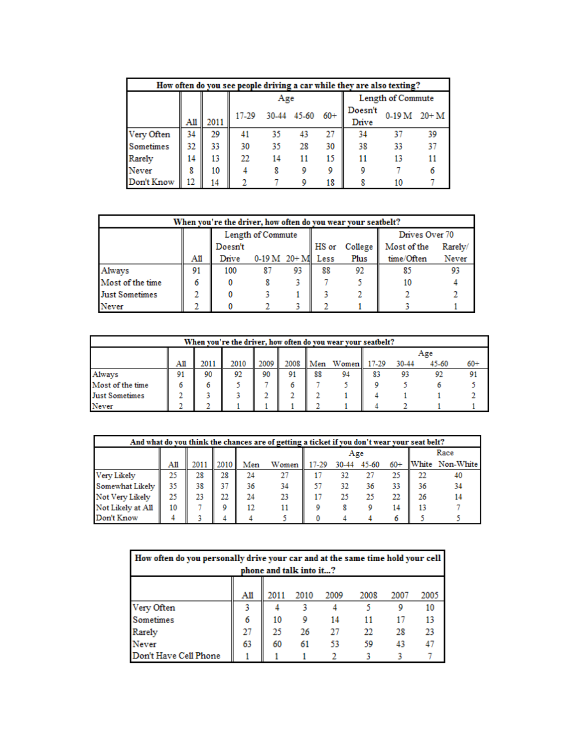|            | How often do you see people driving a car while they are also texting? |      |       |     |                 |                  |              |                   |    |  |  |  |  |
|------------|------------------------------------------------------------------------|------|-------|-----|-----------------|------------------|--------------|-------------------|----|--|--|--|--|
|            |                                                                        |      |       | Age |                 |                  |              | Length of Commute |    |  |  |  |  |
|            |                                                                        |      | 17-29 |     | 30-44 45-60 60+ | Doesn't<br>Drive | $0-19M$ 20+M |                   |    |  |  |  |  |
|            | All                                                                    | 2011 |       |     |                 |                  |              |                   |    |  |  |  |  |
| Very Often | 34                                                                     | 29   | 41    | 35  |                 | 27               | 34           |                   | 39 |  |  |  |  |
| Sometimes  | 32                                                                     | 33   | 30    | 35  | 28              | 30               | 38           | 33                | 37 |  |  |  |  |
| Rarely     | 14                                                                     | 13   | 22    | 14  |                 | 15               | 11           | 13                |    |  |  |  |  |
| Never      | 8                                                                      | 10   |       |     |                 |                  |              |                   |    |  |  |  |  |
| Don't Know |                                                                        | 14   |       |     |                 | 18               |              |                   |    |  |  |  |  |

| When you're the driver, how often do you wear your seatbelt? |    |         |                    |    |       |                                  |                |         |  |  |  |
|--------------------------------------------------------------|----|---------|--------------------|----|-------|----------------------------------|----------------|---------|--|--|--|
|                                                              |    |         | Length of Commute  |    |       |                                  | Drives Over 70 |         |  |  |  |
|                                                              |    | Doesn't |                    |    | HS or | Co <sub>1</sub> leg <sub>e</sub> | Most of the    | Rarely/ |  |  |  |
|                                                              | AШ | Drive   | $0-19 M 20+M$ Less |    |       | Plus                             | time/Often     | Never   |  |  |  |
| Always                                                       | 91 | 100     | 87                 | 93 | 88    | 92                               | 85             | 93      |  |  |  |
| Most of the time                                             |    |         |                    |    |       |                                  |                |         |  |  |  |
| <b>Just Sometimes</b>                                        |    |         |                    |    |       |                                  |                |         |  |  |  |
| Never                                                        |    |         |                    |    |       |                                  |                |         |  |  |  |

|                       | When you're the driver, how often do you wear your seatbelt? |      |      |    |                                          |    |    |       |       |    |  |  |  |  |
|-----------------------|--------------------------------------------------------------|------|------|----|------------------------------------------|----|----|-------|-------|----|--|--|--|--|
|                       |                                                              |      |      |    |                                          |    |    | Age   |       |    |  |  |  |  |
|                       | AШ                                                           | 2011 | 2010 |    | 2009    2008    Men Women    17-29 30-44 |    |    | 45-60 | $60+$ |    |  |  |  |  |
| Always                | 91                                                           | 90   | 92   | 90 | 91                                       | 88 | 94 | 83    | 93    | 92 |  |  |  |  |
| Most of the time      |                                                              |      |      |    |                                          |    |    |       |       |    |  |  |  |  |
| <b>Just Sometimes</b> |                                                              |      |      |    |                                          |    |    |       |       |    |  |  |  |  |
| Never                 |                                                              |      |      |    |                                          |    |    |       |       |    |  |  |  |  |

|                   | And what do you think the chances are of getting a ticket if you don't wear your seat belt? |      |      |     |       |  |                   |      |       |    |                 |  |  |  |
|-------------------|---------------------------------------------------------------------------------------------|------|------|-----|-------|--|-------------------|------|-------|----|-----------------|--|--|--|
|                   |                                                                                             |      |      |     |       |  | Age               | Race |       |    |                 |  |  |  |
|                   | All                                                                                         | 2011 | 2010 | Men | Women |  | 17-29 30-44 45-60 |      | $60+$ |    | White Non-White |  |  |  |
| Very Likely       | 25                                                                                          | 28   | 28   | 24  | 27    |  | 32                |      | 25    | 22 | 40              |  |  |  |
| Somewhat Likely   | 35                                                                                          | 38   | 37   | 36  | 34    |  | 32                | 36   | 33    | 36 | 34              |  |  |  |
| Not Very Likely   | 25                                                                                          | 23   | 22   | 24  | 23    |  | 25                | 25   | 22    | 26 | 14              |  |  |  |
| Not Likely at All | 10                                                                                          |      | 9    | 12  |       |  |                   |      | 14    | 13 |                 |  |  |  |
| Don't Know        |                                                                                             |      |      |     |       |  |                   |      |       |    |                 |  |  |  |

|                         | How often do you personally drive your car and at the same time hold your cell |      |      |      |      |      |      |  |  |  |  |  |  |
|-------------------------|--------------------------------------------------------------------------------|------|------|------|------|------|------|--|--|--|--|--|--|
| phone and talk into it? |                                                                                |      |      |      |      |      |      |  |  |  |  |  |  |
|                         |                                                                                |      |      |      |      |      |      |  |  |  |  |  |  |
|                         | Ail                                                                            | 2011 | 2010 | 2009 | 2008 | 2007 | 2005 |  |  |  |  |  |  |
| Very Often              |                                                                                |      |      |      |      | 9    | 10   |  |  |  |  |  |  |
| Sometimes               | 6                                                                              | 10   |      | 14   |      | 17   |      |  |  |  |  |  |  |
| Rarely                  | 27                                                                             | 25   | 26   | 27   | 22   | 28   | -23  |  |  |  |  |  |  |
| Never                   | 63                                                                             | 60   | 61   | 53   | 59   | 43   |      |  |  |  |  |  |  |
| Don't Have Cell Phone   |                                                                                |      |      |      |      |      |      |  |  |  |  |  |  |